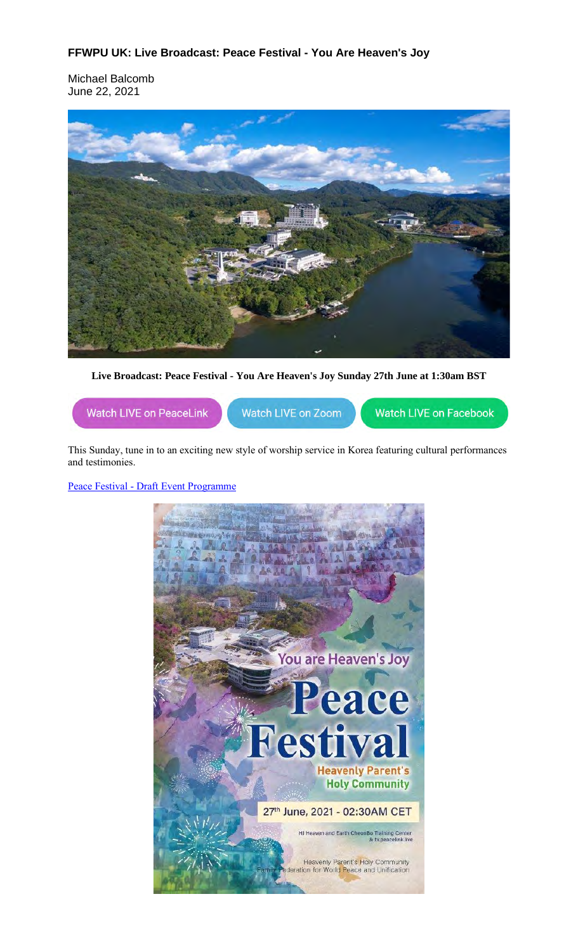## **FFWPU UK: Live Broadcast: Peace Festival - You Are Heaven's Joy**

Michael Balcomb June 22, 2021



**Live Broadcast: Peace Festival - You Are Heaven's Joy Sunday 27th June at 1:30am BST**



This Sunday, tune in to an exciting new style of worship service in Korea featuring cultural performances and testimonies.

Peace Festival - Draft Event Programme